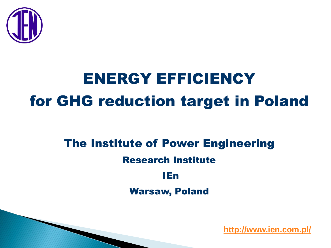

# ENERGY EFFICIENCY for GHG reduction target in Poland

### The Institute of Power Engineering

#### Research Institute

### IEn

Warsaw, Poland

**<http://www.ien.com.pl/>**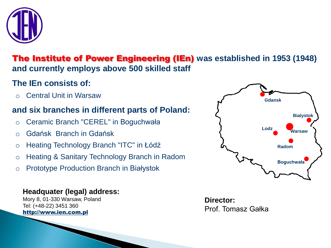

#### The Institute of Power Engineering (IEn) **was established in 1953 (1948) and currently employs above 500 skilled staff**

#### **The IEn consists of:**

o Central Unit in Warsaw

#### **and six branches in different parts of Poland:**

- o Ceramic Branch "CEREL" in Boguchwała
- o Gdańsk Branch in Gdańsk
- o Heating Technology Branch "ITC" in Łódź
- o Heating & Sanitary Technology Branch in Radom
- o Prototype Production Branch in Białystok

#### **Headquater (legal) address:**

Mory 8, 01-330 Warsaw, Poland Tel: (+48-22) 3451 360 http://www.ien.com.pl



**Director:** Prof. Tomasz Gałka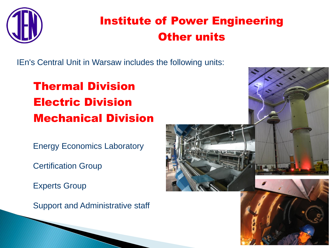

### Institute of Power Engineering Other units

IEn's Central Unit in Warsaw includes the following units:

### Thermal Division Electric Division Mechanical Division

Energy Economics Laboratory

Certification Group

Experts Group

Support and Administrative staff

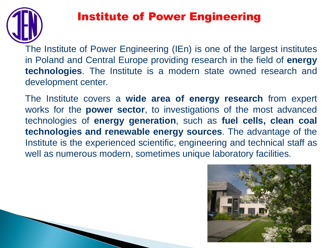

### Institute of Power Engineering

The Institute of Power Engineering (IEn) is one of the largest institutes in Poland and Central Europe providing research in the field of **energy technologies**. The Institute is a modern state owned research and development center.

The Institute covers a **wide area of energy research** from expert works for the **power sector**, to investigations of the most advanced technologies of **energy generation**, such as **fuel cells, clean coal technologies and renewable energy sources**. The advantage of the Institute is the experienced scientific, engineering and technical staff as well as numerous modern, sometimes unique laboratory facilities.

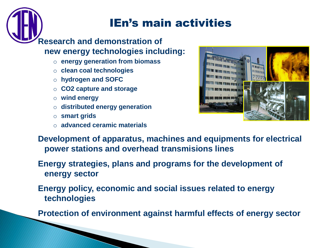### IEn's main activities

#### **Research and demonstration of new energy technologies including:**

- o **energy generation from biomass**
- o **clean coal technologies**
- o **hydrogen and SOFC**
- o **CO2 capture and storage**
- o **wind energy**
- o **distributed energy generation**
- o **smart grids**
- o **advanced ceramic materials**



**Development of apparatus, machines and equipments for electrical power stations and overhead transmisions lines**

#### **Energy strategies, plans and programs for the development of energy sector**

**Energy policy, economic and social issues related to energy technologies**

**Protection of environment against harmful effects of energy sector**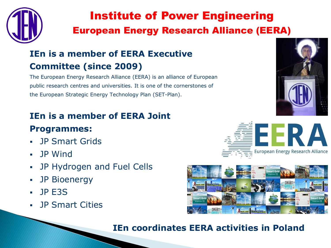

### Institute of Power Engineering European Energy Research Alliance (EERA)

### **IEn is a member of EERA Executive Committee (since 2009)**

The European Energy Research Alliance (EERA) is an alliance of European public research centres and universities. It is one of the cornerstones of the European Strategic Energy Technology Plan (SET-Plan).

#### **IEn is a member of EERA Joint**

#### **Programmes:**

- **JP Smart Grids**
- JP Wind
- JP Hydrogen and Fuel Cells
- JP Bioenergy
- $\blacksquare$  JP E3S
- JP Smart Cities







#### **IEn coordinates EERA activities in Poland**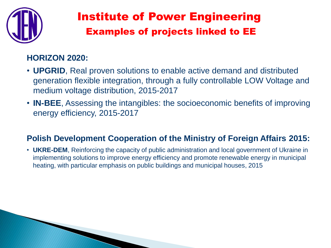

### Institute of Power Engineering Examples of projects linked to EE

#### **HORIZON 2020:**

- **UPGRID**, Real proven solutions to enable active demand and distributed generation flexible integration, through a fully controllable LOW Voltage and medium voltage distribution, 2015-2017
- **IN-BEE**, Assessing the intangibles: the socioeconomic benefits of improving energy efficiency, 2015-2017

#### **Polish Development Cooperation of the Ministry of Foreign Affairs 2015:**

• **UKRE-DEM**, Reinforcing the capacity of public administration and local government of Ukraine in implementing solutions to improve energy efficiency and promote renewable energy in municipal heating, with particular emphasis on public buildings and municipal houses, 2015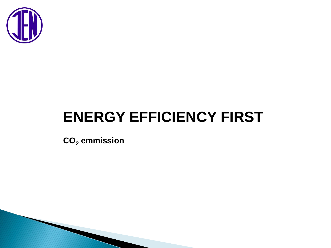

# **ENERGY EFFICIENCY FIRST**

**CO<sup>2</sup> emmission**

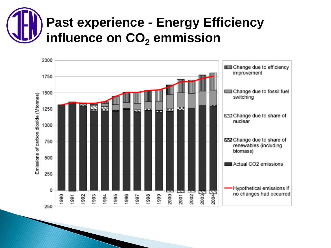# **Past experience - Energy Efficiency** influence on CO<sub>2</sub> emmission

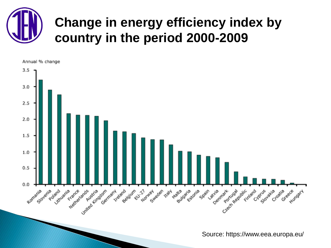# **Change in energy efficiency index by country in the period 2000-2009**

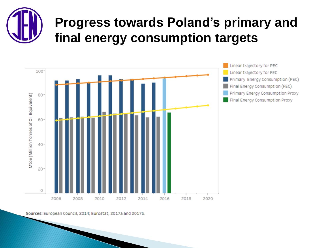## **Progress towards Poland's primary and final energy consumption targets**



Sources: European Council, 2014; Eurostat, 2017a and 2017b.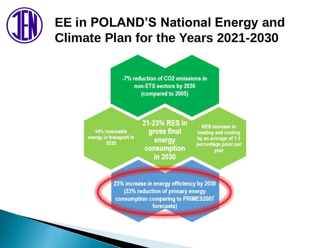# **EE in POLAND'S National Energy and Climate Plan for the Years 2021-2030**

-7% reduction of CO2 emissions in non-ETS sectors by 2030 (compared to 2005)

14% renewable energy in transport in 2030

21-23% RES in gross final energy consumption in 2030

**RES** increase in heating and cooling by an average of 1.1 percentage point per year

23% increase in energy efficiency by 2030 (23% reduction of primary energy consumption comparing to PRIMES2007 forecasts)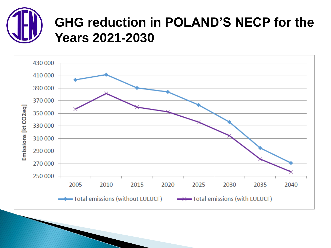### **GHG reduction in POLAND'S NECP for the Years 2021-2030**

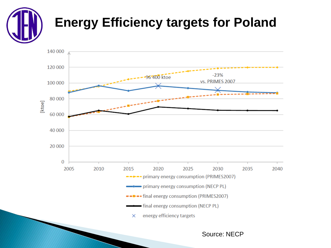## **Energy Efficiency targets for Poland**



Source: NECP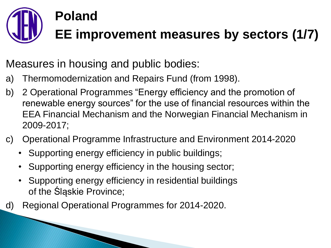# **Poland EE improvement measures by sectors (1/7)**

Measures in housing and public bodies:

- a) Thermomodernization and Repairs Fund (from 1998).
- b) 2 Operational Programmes "Energy efficiency and the promotion of renewable energy sources" for the use of financial resources within the EEA Financial Mechanism and the Norwegian Financial Mechanism in 2009-2017;
- c) Operational Programme Infrastructure and Environment 2014-2020
	- Supporting energy efficiency in public buildings;
	- Supporting energy efficiency in the housing sector;
	- Supporting energy efficiency in residential buildings of the Śląskie Province;
- d) Regional Operational Programmes for 2014-2020.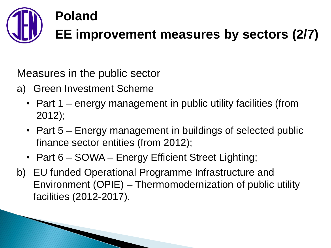

Measures in the public sector

- a) Green Investment Scheme
	- Part 1 energy management in public utility facilities (from 2012);
	- Part 5 Energy management in buildings of selected public finance sector entities (from 2012);
	- Part 6 SOWA Energy Efficient Street Lighting;
- b) EU funded Operational Programme Infrastructure and Environment (OPIE) – Thermomodernization of public utility facilities (2012-2017).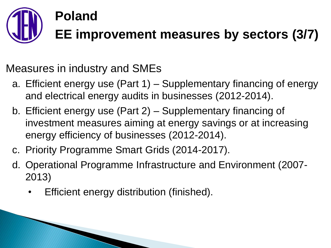# **Poland EE improvement measures by sectors (3/7)**

Measures in industry and SMEs

- a. Efficient energy use (Part 1) Supplementary financing of energy and electrical energy audits in businesses (2012-2014).
- b. Efficient energy use (Part 2) Supplementary financing of investment measures aiming at energy savings or at increasing energy efficiency of businesses (2012-2014).
- c. Priority Programme Smart Grids (2014-2017).
- d. Operational Programme Infrastructure and Environment (2007- 2013)
	- Efficient energy distribution (finished).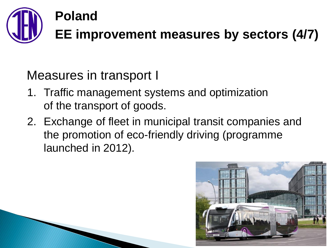

Measures in transport I

- 1. Traffic management systems and optimization of the transport of goods.
- 2. Exchange of fleet in municipal transit companies and the promotion of eco-friendly driving (programme launched in 2012).

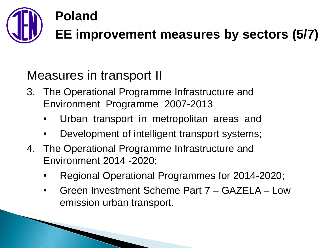

# **EE improvement measures by sectors (5/7)**

### Measures in transport II

- 3. The Operational Programme Infrastructure and Environment Programme 2007-2013
	- Urban transport in metropolitan areas and
	- Development of intelligent transport systems;
- 4. The Operational Programme Infrastructure and Environment 2014 -2020;
	- Regional Operational Programmes for 2014-2020;
	- Green Investment Scheme Part 7 GAZELA Low emission urban transport.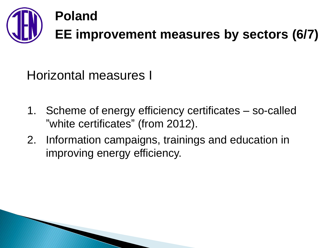

Horizontal measures I

- 1. Scheme of energy efficiency certificates so-called "white certificates" (from 2012).
- 2. Information campaigns, trainings and education in improving energy efficiency.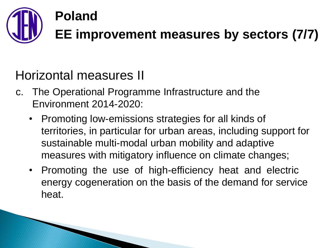

### Horizontal measures II

- c. The Operational Programme Infrastructure and the Environment 2014-2020:
	- Promoting low-emissions strategies for all kinds of territories, in particular for urban areas, including support for sustainable multi-modal urban mobility and adaptive measures with mitigatory influence on climate changes;
	- Promoting the use of high-efficiency heat and electric energy cogeneration on the basis of the demand for service heat.